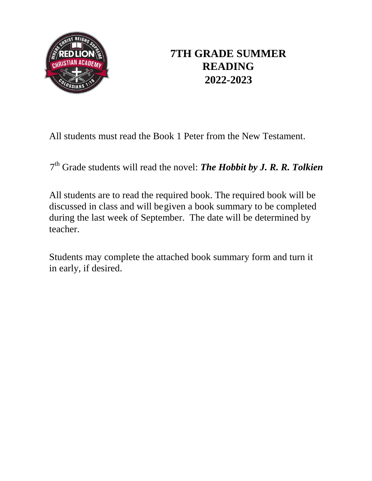

## **7TH GRADE SUMMER READING 2022-2023**

All students must read the Book 1 Peter from the New Testament.

7 th Grade students will read the novel: *The Hobbit by J. R. R. Tolkien*

All students are to read the required book. The required book will be discussed in class and will begiven a book summary to be completed during the last week of September. The date will be determined by teacher.

Students may complete the attached book summary form and turn it in early, if desired.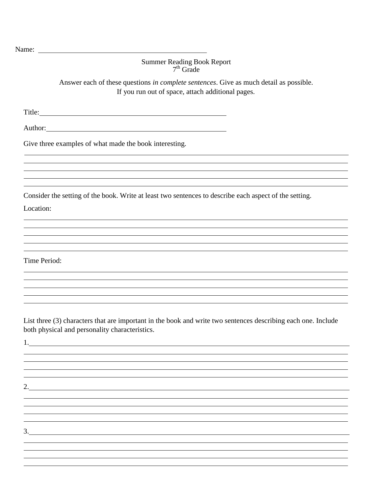## Summer Reading Book Report 7<sup>th</sup> Grade

Answer each of these questions *in complete sentences*. Give as much detail as possible. If you run out of space, attach additional pages.

Title:

Author: 2007 - 2008 - 2018 - 2019 - 2019 - 2019 - 2019 - 2019 - 2019 - 2019 - 2019 - 2019 - 2019 - 2019 - 2019 - 2019 - 2019 - 2019 - 2019 - 2019 - 2019 - 2019 - 2019 - 2019 - 2019 - 2019 - 2019 - 2019 - 2019 - 2019 - 2019

Give three examples of what made the book interesting.

2.

Consider the setting of the book. Write at least two sentences to describe each aspect of the setting.

Location:

Time Period:

List three (3) characters that are important in the book and write two sentences describing each one. Include both physical and personality characteristics.

1.

3.